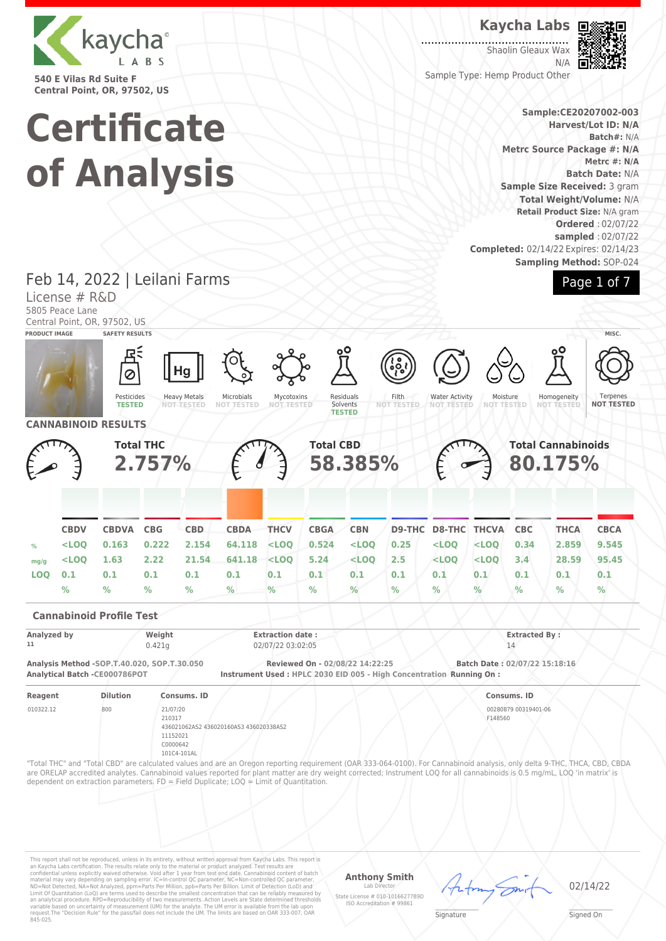

**540 E Vilas Rd Suite F Central Point, OR, 97502, US**

#### **Kaycha Labs**

. . . . . . . . . . . . Shaolin Gleaux Wax N/A



Sample Type: Hemp Product Other

#### **Sample:CE20207002-003 Harvest/Lot ID: N/A Batch#:** N/A **Metrc Source Package #: N/A Metrc #: N/A Batch Date:** N/A **Sample Size Received:** 3 gram **Total Weight/Volume:** N/A **Retail Product Size:** N/A gram **Ordered** : 02/07/22 **sampled** : 02/07/22 **Completed:** 02/14/22 Expires: 02/14/23 **Sampling Method:** SOP-024



# **Certificate of Analysis**

Feb 14, 2022 | Leilani Farms

License # R&D 5805 Peace Lane Central Point, OR, 97502, US **PRODUCT IMAGE SAFETY RESULTS MISC.** Hg Ø Pesticides Residuals Heavy Metals Microbials Mycotoxins Filth Water Activity Moisture<br>NOT TEST Homogeneity **Terpenes TESTED NOT TESTED NOT TESTED** Solvents **NOT TESTED NOT TESTED NOT TESTED NOT TESTED NOT TESTED NOT TESTED TESTED CANNABINOID RESULTS Total THC Total CBD Total Cannabinoids 58.385% 2.757% 80.175% CBDV CBDVA CBG CBD CBDA THCV CBGA CBN D9-THC D8-THC THCVA CBC THCA CBCA % <LOQ 0.163 0.222 2.154 64.118 <LOQ 0.524 <LOQ 0.25 <LOQ <LOQ 0.34 2.859 9.545 mg/g <LOQ 1.63 2.22 21.54 641.18 <LOQ 5.24 <LOQ 2.5 <LOQ <LOQ 3.4 28.59 95.45 LOQ 0.1 0.1 0.1 0.1 0.1 0.1 0.1 0.1 0.1 0.1 0.1 0.1 0.1 0.1 % % % % % % % % % % % % % % Cannabinoid Profile Test Analyzed by Weight Extraction date : Extracted By : 11** 0.421g 02/07/22 03:02:05 14 **Analysis Method -SOP.T.40.020, SOP.T.30.050 Reviewed On - 02/08/22 14:22:25 Batch Date : 02/07/22 15:18:16 Instrument Used : HPLC 2030 EID 005 - High Concentration Running On : Reagent Dilution Consums. ID Consums. ID** 010322.12 800 21/07/20 00280879 00319401-06 210317 F148560 436021062AS2 436020160AS3 436020338AS2 11152021 C0000642 101C4-101AL "Total THC" and "Total CBD" are calculated values and are an Oregon reporting requirement (OAR 333-064-0100). For Cannabinoid analysis, only delta 9-THC, THCA, CBD, CBDA are ORELAP accredited analytes. Cannabinoid values reported for plant matter are dry weight corrected; Instrument LOQ for all cannabinoids is 0.5 mg/mL, LOQ 'in matrix' is dependent on extraction parameters. FD = Field Duplicate; LOQ = Limit of Quantitation.

This report shall not be reproduced, unless in its entirety, without written approval from Kaycha Labs. This report is<br>an Kaycha Labs certification. The results relate only to the material or product analyzed. Test result

#### **Anthony Smith** Lab Director

State License # 010-10166277B9D ISO Accreditation # 99861



Signed On

 $\mathscr{L}\setminus\mathscr{L}$ **Signature**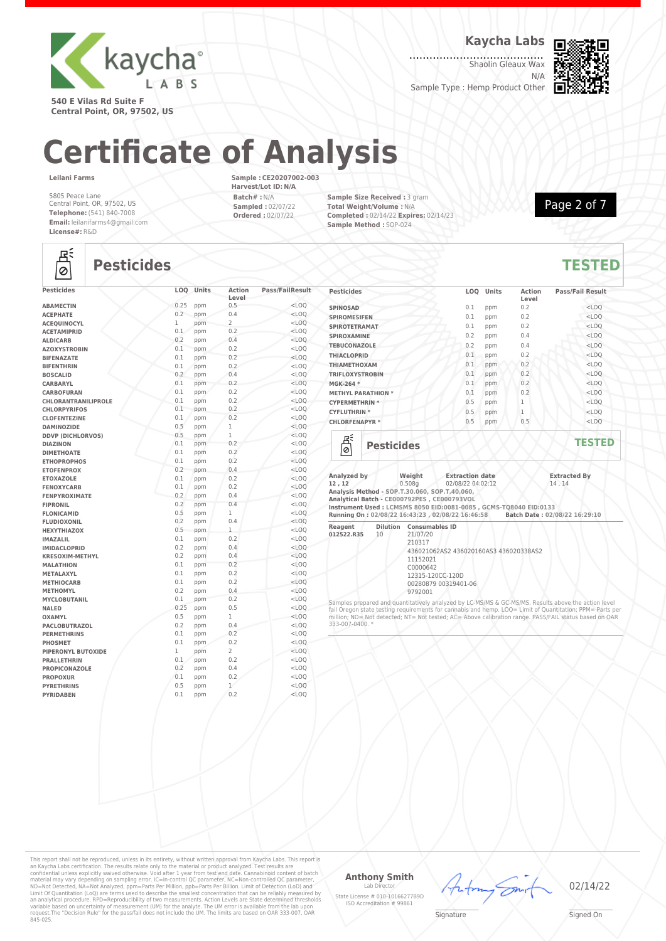

**Kaycha Labs**

Shaolin Gleaux Wax N/A

Sample Type : Hemp Product Other



**540 E Vilas Rd Suite F Central Point, OR, 97502, US**

# **Certificate of Analysis**

#### **Leilani Farms**

5805 Peace Lane Central Point, OR, 97502, US **Telephone:** (541) 840-7008 **Email:** leilanifarms4@gmail.com **License#:** R&D

**Sample : CE20207002-003 Harvest/Lot ID: N/A Batch# :** N/A **Sampled :** 02/07/22 **Ordered :** 02/07/22

**Sample Size Received :** 3 gram **Total Weight/Volume :** N/A **Completed :** 02/14/22 **Expires:** 02/14/23 **Sample Method :** SOP-024



## 흲

### **Pesticides TESTED**

| <b>Pesticides</b>        | LOQ  | Units | <b>Action</b><br>Level | <b>Pass/FailResult</b> |
|--------------------------|------|-------|------------------------|------------------------|
| <b>ABAMECTIN</b>         | 0.25 | ppm   | 0.5                    | $<$ LOO                |
| <b>ACEPHATE</b>          | 0.2  | ppm   | 0.4                    | $<$ LOQ                |
| <b>ACEOUINOCYL</b>       | 1    | ppm   | $\overline{2}$         | $<$ LOQ                |
| <b>ACETAMIPRID</b>       | 0.1  | ppm   | 0.2                    | $<$ LOO                |
| <b>ALDICARB</b>          | 0.2  | ppm   | 0.4                    | $<$ LOQ                |
| <b>AZOXYSTROBIN</b>      | 0.1  | ppm   | 0.2                    | $<$ LOO                |
| <b>BIFENAZATE</b>        | 0.1  | ppm   | 0.2                    | $<$ LOO                |
| <b>BIFENTHRIN</b>        | 0.1  | ppm   | 0.2                    | $<$ LOO                |
| <b>BOSCALID</b>          | 0.2  | ppm   | 0.4                    | $<$ LOO                |
| <b>CARBARYL</b>          | 0.1  | ppm   | 0.2                    | $<$ LOQ                |
| <b>CARBOFURAN</b>        | 0.1  | ppm   | 0.2                    | $<$ LOQ                |
| CHLORANTRANILIPROLE      | 0.1  | ppm   | 0.2                    | $<$ LOQ                |
| <b>CHLORPYRIFOS</b>      | 0.1  | ppm   | 0.2                    | $<$ LOQ                |
| <b>CLOFENTEZINE</b>      | 0.1  | ppm   | 0.2                    | $<$ LOO                |
| <b>DAMINOZIDE</b>        | 0.5  | ppm   | 1                      | $<$ LOQ                |
| <b>DDVP (DICHLORVOS)</b> | 0.5  | ppm   | $\mathbf{1}$           | $<$ LOO                |
| <b>DIAZINON</b>          | 0.1  | ppm   | 0.2                    | $<$ LOO                |
| <b>DIMETHOATE</b>        | 0.1  | ppm   | 0.2                    | $<$ LOO                |
| <b>ETHOPROPHOS</b>       | 0.1  | ppm   | 0.2                    | $<$ LOO                |
| <b>ETOFENPROX</b>        | 0.2  | ppm   | 0.4                    | $<$ LOQ                |
| <b>ETOXAZOLE</b>         | 0.1  | ppm   | 0.2                    | $<$ LOQ                |
| <b>FENOXYCARB</b>        | 0.1  | ppm   | 0.2                    | $<$ LOO                |
| <b>FENPYROXIMATE</b>     | 0.2  | ppm   | 0.4                    | $<$ LOO                |
| <b>FIPRONIL</b>          | 0.2  | ppm   | 0.4                    | $<$ LOO                |
| <b>FLONICAMID</b>        | 0.5  | ppm   | $\mathbf{1}$           | $<$ LOO                |
| <b>FLUDIOXONIL</b>       | 0.2  | ppm   | 0.4                    | $<$ LOO                |
| <b>HEXYTHIAZOX</b>       | 0.5  | ppm   | $\mathbf{1}$           | $<$ LOO                |
| <b>IMAZALIL</b>          | 0.1  | ppm   | 0.2                    | $<$ LOO                |
| <b>IMIDACLOPRID</b>      | 0.2  | ppm   | 0.4                    | $<$ LOO                |
| <b>KRESOXIM-METHYL</b>   | 0.2  | ppm   | 0.4                    | $<$ LOO                |
| <b>MALATHION</b>         | 0.1  | ppm   | 0.2                    | $<$ LOO                |
| METALAXYL                | 0.1  | ppm   | 0.2                    | $<$ LOO                |
| <b>METHIOCARB</b>        | 0.1  | ppm   | 0.2                    | $<$ LOQ                |
| <b>METHOMYL</b>          | 0.2  | ppm   | 0.4                    | $<$ LOQ                |
| <b>MYCLOBUTANIL</b>      | 0.1  | ppm   | 0.2                    | $<$ LOO                |
| <b>NALED</b>             | 0.25 | ppm   | 0.5                    | $<$ LOO                |
| <b>OXAMYL</b>            | 0.5  | ppm   | $\mathbf{1}$           | $<$ LOO                |
| <b>PACLOBUTRAZOL</b>     | 0.2  | ppm   | 0.4                    | $<$ LOO                |
| <b>PERMETHRINS</b>       | 0.1  | ppm   | 0.2                    | $<$ LOO                |
| <b>PHOSMET</b>           | 0.1  | ppm   | 0.2                    | $<$ LOQ                |
| PIPERONYL BUTOXIDE       | 1    | ppm   | $\overline{2}$         | $<$ LOQ                |
| <b>PRALLETHRIN</b>       | 0.1  | ppm   | 0.2                    | $<$ LOQ                |
| <b>PROPICONAZOLE</b>     | 0.2  | ppm   | 0.4                    | $<$ LOQ                |
| <b>PROPOXUR</b>          | 0.1  | ppm   | 0.2                    | $<$ LOQ                |
| <b>PYRETHRINS</b>        | 0.5  | ppm   | $\mathbf{1}$           | $<$ LOQ                |
| <b>PYRIDABEN</b>         | 0.1  | ppm   | 0.2                    | $<$ LOO                |
|                          |      |       |                        |                        |

| <b>Pesticides</b>            | LOO | Units | <b>Action</b><br>Level | <b>Pass/Fail Result</b> |
|------------------------------|-----|-------|------------------------|-------------------------|
| <b>SPINOSAD</b>              | 0.1 | ppm   | 0.2                    | $<$ LOQ                 |
| <b>SPIROMESIFEN</b>          | 0.1 | ppm   | 0.2                    | $<$ LOQ                 |
| <b>SPIROTETRAMAT</b>         | 0.1 | ppm   | 0.2                    | $<$ LOQ                 |
| <b>SPIROXAMINE</b>           | 0.2 | ppm   | 0.4                    | $<$ LOO                 |
| <b>TEBUCONAZOLE</b>          | 0.2 | ppm   | 0.4                    | $<$ LOQ                 |
| <b>THIACLOPRID</b>           | 0.1 | ppm   | 0.2                    | $<$ LOQ                 |
| <b>THIAMETHOXAM</b>          | 0.1 | ppm   | 0.2                    | $<$ LOQ                 |
| <b>TRIFLOXYSTROBIN</b>       | 0.1 | ppm   | 0.2                    | $<$ LOQ                 |
| MGK-264 *                    | 0.1 | ppm   | 0.2                    | $<$ LOQ                 |
| <b>METHYL PARATHION *</b>    | 0.1 | ppm   | 0.2                    | $<$ LOQ                 |
| <b>CYPERMETHRIN *</b>        | 0.5 | ppm   | 1                      | $<$ LOQ                 |
| <b>CYFLUTHRIN*</b>           | 0.5 | ppm   | 1                      | $<$ LOQ                 |
| <b>CHLORFENAPYR *</b>        | 0.5 | ppm   | 0.5                    | $<$ LOQ                 |
| ロミ<br><b>Pesticides</b><br>ø |     |       |                        | <b>TESTED</b>           |

| Analyzed by<br>12, 12<br>Analysis Method - SOP.T.30.060, SOP.T.40.060,<br>Analytical Batch - CE000792PES, CE000793VOL |    | Weight<br>0.508a                                                                                            | <b>Extraction date</b><br>02/08/22 04:02:12                       | <b>Extracted By</b><br>14.14                                                                        |  |
|-----------------------------------------------------------------------------------------------------------------------|----|-------------------------------------------------------------------------------------------------------------|-------------------------------------------------------------------|-----------------------------------------------------------------------------------------------------|--|
|                                                                                                                       |    |                                                                                                             | Instrument Used: LCMSMS 8050 EID:0081-0085 , GCMS-T08040 EID:0133 |                                                                                                     |  |
|                                                                                                                       |    |                                                                                                             |                                                                   | Running On: 02/08/22 16:43:23, 02/08/22 16:46:58 Batch Date: 02/08/22 16:29:10                      |  |
| Reagent<br>012522.R35                                                                                                 | 10 | <b>Dilution</b> Consumables ID<br>21/07/20<br>210317<br>11152021<br>C0000642<br>12315-120CC-120D<br>9792001 | 436021062AS2 436020160AS3 436020338AS2<br>00280879 00319401-06    |                                                                                                     |  |
|                                                                                                                       |    |                                                                                                             |                                                                   | Samples prepared and quantitatively analyzed by LC-MS/MS & GC-MS/MS. Results above the action level |  |

Samples prepared and quantitatively analyzed by LC-MS/MS & GC-MS/MS. Results above the action level fail Oregon state testing requirements for cannabis and hemp. LOQ= Limit of Quantitation; PPM= Parts per million; ND= Not detected; NT= Not tested; AC= Above calibration range. PASS/FAIL status based on OAR 333-007-0400. \*

This report shall not be reproduced, unless in its entirety, without written approval from Kaycha Labs. This report is<br>an Kaycha Labs certification. The results relate only to the material or product analyzed. Test result

#### **Anthony Smith**

Lab Director State License # 010-10166277B9D ISO Accreditation # 99861



02/14/22

 $\mathscr{L}\setminus\mathscr{L}$ **Signature**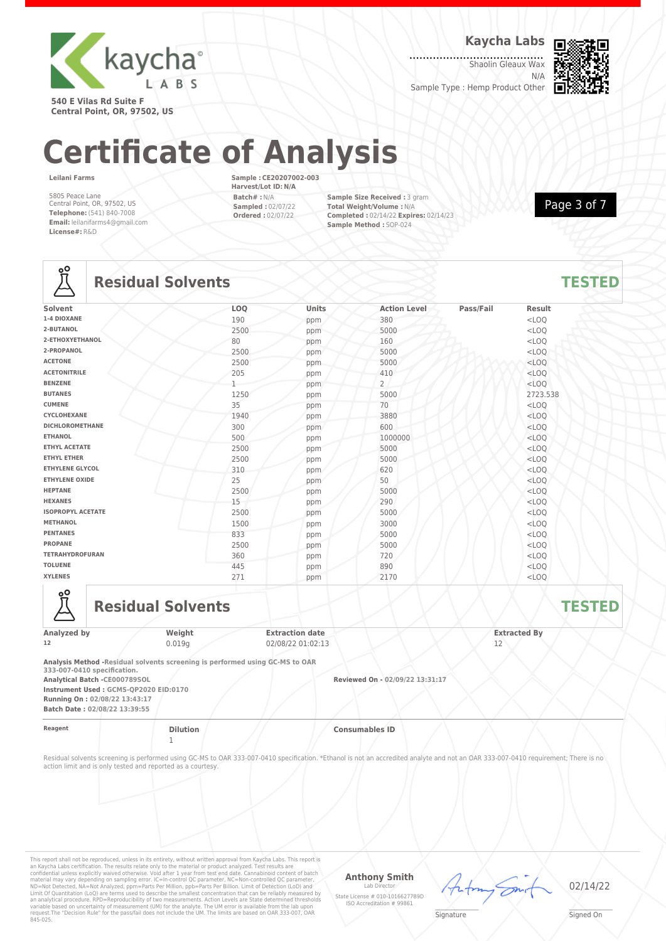

**Kaycha Labs**

Shaolin Gleaux Wax N/A

Sample Type : Hemp Product Other



**540 E Vilas Rd Suite F Central Point, OR, 97502, US**

# **Certificate of Analysis**

**Leilani Farms**

5805 Peace Lane Central Point, OR, 97502, US **Telephone:** (541) 840-7008 **Email:** leilanifarms4@gmail.com **License#:** R&D

**Sample : CE20207002-003 Harvest/Lot ID: N/A Batch# :** N/A **Sampled :** 02/07/22 **Ordered :** 02/07/22

**Sample Size Received :** 3 gram **Total Weight/Volume :** N/A **Completed :** 02/14/22 **Expires:** 02/14/23 **Sample Method :** SOP-024

Page 3 of 7

## **Lo**

## **Residual Solvents TESTED**

| Solvent<br>Units<br>LOQ<br>Pass/Fail<br><b>Result</b><br><b>Action Level</b><br>1-4 DIOXANE<br>190<br>$<$ LOQ<br>380<br>ppm<br>2-BUTANOL<br>2500<br>$<$ LOQ<br>5000<br>ppm<br>2-ETHOXYETHANOL<br>80<br>160<br>$<$ LOO<br>ppm<br>2-PROPANOL<br>2500<br>5000<br>$<$ LOQ<br>ppm<br><b>ACETONE</b><br>2500<br>$<$ LOQ<br>5000<br>ppm<br><b>ACETONITRILE</b><br>205<br>410<br>$<$ LOQ<br>ppm<br>$\overline{2}$<br><b>BENZENE</b><br>$<$ LOQ<br>ppm<br><b>BUTANES</b><br>1250<br>5000<br>2723.538<br>ppm<br>35<br><b>CUMENE</b><br>70<br>$<$ LOQ<br>ppm<br>CYCLOHEXANE<br>3880<br>$<$ LOQ<br>1940<br>ppm<br><b>DICHLOROMETHANE</b><br>300<br>600<br>$<$ LOO<br>ppm<br>500<br><b>ETHANOL</b><br>1000000<br>$<$ LOQ<br>ppm<br><b>ETHYL ACETATE</b><br>$<$ LOQ<br>2500<br>5000<br>ppm<br><b>ETHYL ETHER</b><br>2500<br>5000<br>$<$ LOQ<br>ppm<br><b>ETHYLENE GLYCOL</b><br>620<br>310<br>$<$ LOQ<br>ppm<br><b>ETHYLENE OXIDE</b><br>25<br>50<br>$<$ LOQ<br>ppm<br><b>HEPTANE</b><br>2500<br>5000<br>$<$ LOQ<br>ppm<br><b>HEXANES</b><br>15<br>290<br>$<$ LOQ<br>ppm<br><b>ISOPROPYL ACETATE</b><br>2500<br>5000<br>$<$ LOQ<br>ppm<br><b>METHANOL</b><br>3000<br>$<$ LOQ<br>1500<br>ppm<br><b>PENTANES</b><br>833<br>5000<br>$<$ LOO<br>ppm<br><b>PROPANE</b><br>2500<br>5000<br>$<$ LOQ<br>ppm<br><b>TETRAHYDROFURAN</b><br>360<br>720<br>$<$ LOQ<br>ppm<br><b>TOLUENE</b><br>445<br>890<br>$<$ LOO<br>ppm<br><b>XYLENES</b><br>271<br>2170<br>$<$ LOQ<br>ppm | $\overline{\phantom{0}}$ |  |  |  |
|------------------------------------------------------------------------------------------------------------------------------------------------------------------------------------------------------------------------------------------------------------------------------------------------------------------------------------------------------------------------------------------------------------------------------------------------------------------------------------------------------------------------------------------------------------------------------------------------------------------------------------------------------------------------------------------------------------------------------------------------------------------------------------------------------------------------------------------------------------------------------------------------------------------------------------------------------------------------------------------------------------------------------------------------------------------------------------------------------------------------------------------------------------------------------------------------------------------------------------------------------------------------------------------------------------------------------------------------------------------------------------------------------------------------------------------------------|--------------------------|--|--|--|
|                                                                                                                                                                                                                                                                                                                                                                                                                                                                                                                                                                                                                                                                                                                                                                                                                                                                                                                                                                                                                                                                                                                                                                                                                                                                                                                                                                                                                                                      |                          |  |  |  |
|                                                                                                                                                                                                                                                                                                                                                                                                                                                                                                                                                                                                                                                                                                                                                                                                                                                                                                                                                                                                                                                                                                                                                                                                                                                                                                                                                                                                                                                      |                          |  |  |  |
|                                                                                                                                                                                                                                                                                                                                                                                                                                                                                                                                                                                                                                                                                                                                                                                                                                                                                                                                                                                                                                                                                                                                                                                                                                                                                                                                                                                                                                                      |                          |  |  |  |
|                                                                                                                                                                                                                                                                                                                                                                                                                                                                                                                                                                                                                                                                                                                                                                                                                                                                                                                                                                                                                                                                                                                                                                                                                                                                                                                                                                                                                                                      |                          |  |  |  |
|                                                                                                                                                                                                                                                                                                                                                                                                                                                                                                                                                                                                                                                                                                                                                                                                                                                                                                                                                                                                                                                                                                                                                                                                                                                                                                                                                                                                                                                      |                          |  |  |  |
|                                                                                                                                                                                                                                                                                                                                                                                                                                                                                                                                                                                                                                                                                                                                                                                                                                                                                                                                                                                                                                                                                                                                                                                                                                                                                                                                                                                                                                                      |                          |  |  |  |
|                                                                                                                                                                                                                                                                                                                                                                                                                                                                                                                                                                                                                                                                                                                                                                                                                                                                                                                                                                                                                                                                                                                                                                                                                                                                                                                                                                                                                                                      |                          |  |  |  |
|                                                                                                                                                                                                                                                                                                                                                                                                                                                                                                                                                                                                                                                                                                                                                                                                                                                                                                                                                                                                                                                                                                                                                                                                                                                                                                                                                                                                                                                      |                          |  |  |  |
|                                                                                                                                                                                                                                                                                                                                                                                                                                                                                                                                                                                                                                                                                                                                                                                                                                                                                                                                                                                                                                                                                                                                                                                                                                                                                                                                                                                                                                                      |                          |  |  |  |
|                                                                                                                                                                                                                                                                                                                                                                                                                                                                                                                                                                                                                                                                                                                                                                                                                                                                                                                                                                                                                                                                                                                                                                                                                                                                                                                                                                                                                                                      |                          |  |  |  |
|                                                                                                                                                                                                                                                                                                                                                                                                                                                                                                                                                                                                                                                                                                                                                                                                                                                                                                                                                                                                                                                                                                                                                                                                                                                                                                                                                                                                                                                      |                          |  |  |  |
|                                                                                                                                                                                                                                                                                                                                                                                                                                                                                                                                                                                                                                                                                                                                                                                                                                                                                                                                                                                                                                                                                                                                                                                                                                                                                                                                                                                                                                                      |                          |  |  |  |
|                                                                                                                                                                                                                                                                                                                                                                                                                                                                                                                                                                                                                                                                                                                                                                                                                                                                                                                                                                                                                                                                                                                                                                                                                                                                                                                                                                                                                                                      |                          |  |  |  |
|                                                                                                                                                                                                                                                                                                                                                                                                                                                                                                                                                                                                                                                                                                                                                                                                                                                                                                                                                                                                                                                                                                                                                                                                                                                                                                                                                                                                                                                      |                          |  |  |  |
|                                                                                                                                                                                                                                                                                                                                                                                                                                                                                                                                                                                                                                                                                                                                                                                                                                                                                                                                                                                                                                                                                                                                                                                                                                                                                                                                                                                                                                                      |                          |  |  |  |
|                                                                                                                                                                                                                                                                                                                                                                                                                                                                                                                                                                                                                                                                                                                                                                                                                                                                                                                                                                                                                                                                                                                                                                                                                                                                                                                                                                                                                                                      |                          |  |  |  |
|                                                                                                                                                                                                                                                                                                                                                                                                                                                                                                                                                                                                                                                                                                                                                                                                                                                                                                                                                                                                                                                                                                                                                                                                                                                                                                                                                                                                                                                      |                          |  |  |  |
|                                                                                                                                                                                                                                                                                                                                                                                                                                                                                                                                                                                                                                                                                                                                                                                                                                                                                                                                                                                                                                                                                                                                                                                                                                                                                                                                                                                                                                                      |                          |  |  |  |
|                                                                                                                                                                                                                                                                                                                                                                                                                                                                                                                                                                                                                                                                                                                                                                                                                                                                                                                                                                                                                                                                                                                                                                                                                                                                                                                                                                                                                                                      |                          |  |  |  |
|                                                                                                                                                                                                                                                                                                                                                                                                                                                                                                                                                                                                                                                                                                                                                                                                                                                                                                                                                                                                                                                                                                                                                                                                                                                                                                                                                                                                                                                      |                          |  |  |  |
|                                                                                                                                                                                                                                                                                                                                                                                                                                                                                                                                                                                                                                                                                                                                                                                                                                                                                                                                                                                                                                                                                                                                                                                                                                                                                                                                                                                                                                                      |                          |  |  |  |
|                                                                                                                                                                                                                                                                                                                                                                                                                                                                                                                                                                                                                                                                                                                                                                                                                                                                                                                                                                                                                                                                                                                                                                                                                                                                                                                                                                                                                                                      |                          |  |  |  |
|                                                                                                                                                                                                                                                                                                                                                                                                                                                                                                                                                                                                                                                                                                                                                                                                                                                                                                                                                                                                                                                                                                                                                                                                                                                                                                                                                                                                                                                      |                          |  |  |  |
|                                                                                                                                                                                                                                                                                                                                                                                                                                                                                                                                                                                                                                                                                                                                                                                                                                                                                                                                                                                                                                                                                                                                                                                                                                                                                                                                                                                                                                                      |                          |  |  |  |
|                                                                                                                                                                                                                                                                                                                                                                                                                                                                                                                                                                                                                                                                                                                                                                                                                                                                                                                                                                                                                                                                                                                                                                                                                                                                                                                                                                                                                                                      |                          |  |  |  |
|                                                                                                                                                                                                                                                                                                                                                                                                                                                                                                                                                                                                                                                                                                                                                                                                                                                                                                                                                                                                                                                                                                                                                                                                                                                                                                                                                                                                                                                      |                          |  |  |  |



**Residual Solvents TESTED** 

| Analyzed by | Weight | <b>Extraction date</b> | <b>Extracted By</b> |
|-------------|--------|------------------------|---------------------|
| 12          | 0.019q | 02/08/22 01:02:13      | <b>Select Class</b> |
|             |        |                        |                     |

**Analysis Method -Residual solvents screening is performed using GC-MS to OAR 333-007-0410 specification.**

**Analytical Batch -CE000789SOL Reviewed On - 02/09/22 13:31:17 Instrument Used : GCMS-QP2020 EID:0170 Running On : 02/08/22 13:43:17**

**Batch Date : 02/08/22 13:39:55**

1

**Reagent Dilution Consumables ID**

Residual solvents screening is performed using GC-MS to OAR 333-007-0410 specification. \*Ethanol is not an accredited analyte and not an OAR 333-007-0410 requirement; There is no action limit and is only tested and reported as a courtesy.

This report shall not be reproduced, unless in its entirety, without written approval from Kaycha Labs. This report is<br>an Kaycha Labs certification. The results relate only to the material or product analyzed. Test result

#### **Anthony Smith**

Lab Director State License # 010-10166277B9D ISO Accreditation # 99861



02/14/22

 $\mathscr{L}\setminus\mathscr{L}$ **Signature**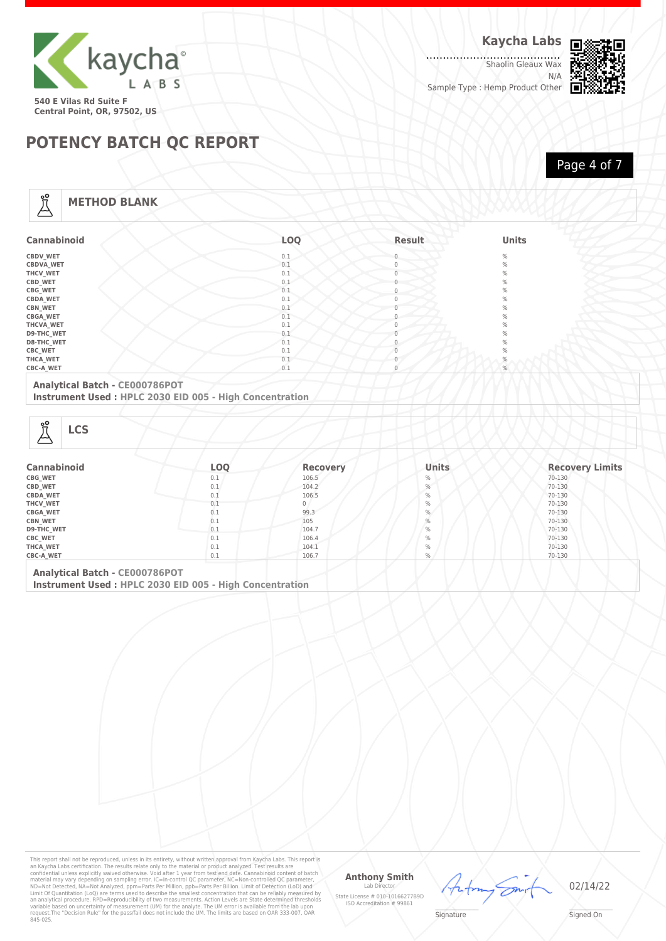

.......................<br>Shaolin Gleaux Wax N/A Sample Type : Hemp Product Other



**POTENCY BATCH QC REPORT**

Page 4 of 7

#### **METHOD BLANK**

Å

| <b>Cannabinoid</b> | LOQ | Result       | <b>Units</b>  |
|--------------------|-----|--------------|---------------|
| <b>CBDV_WET</b>    | 0.1 | $\mathbf{0}$ | $\frac{0}{0}$ |
| <b>CBDVA WET</b>   | 0.1 | 0            | $\frac{0}{0}$ |
| THCV_WET           | 0.1 | $\mathbf{0}$ | $\%$          |
| CBD_WET            | 0.1 | $\mathbf{0}$ | $\%$          |
| <b>CBG_WET</b>     | 0.1 | $\mathbf{0}$ | $\%$          |
| <b>CBDA_WET</b>    | 0.1 | $\Omega$     | $\frac{0}{0}$ |
| <b>CBN_WET</b>     | 0.1 |              | $\frac{0}{0}$ |
| <b>CBGA_WET</b>    | 0.1 | 0            | $\%$          |
| THCVA_WET          | 0.1 | $\Omega$     | $\%$          |
| <b>D9-THC_WET</b>  | 0.1 |              | $\%$          |
| <b>D8-THC WET</b>  | 0.1 |              | $\%$          |
| CBC_WET            | 0.1 |              | $\%$          |
| THCA_WET           | 0.1 | $\Omega$     | $\%$          |
| CBC-A_WET          | 0.1 | $\mathbf{0}$ | %             |

#### **Analytical Batch - CE000786POT**

**Instrument Used : HPLC 2030 EID 005 - High Concentration**

| ൠ<br><b>LCS</b><br>دم |     |                 |               |                        |
|-----------------------|-----|-----------------|---------------|------------------------|
| Cannabinoid           | LOQ | <b>Recovery</b> | <b>Units</b>  | <b>Recovery Limits</b> |
| CBG_WET               | 0.1 | 106.5           | $\%$          | 70-130                 |
| <b>CBD_WET</b>        | 0.1 | 104.2           | $\frac{0}{0}$ | 70-130                 |
| <b>CBDA_WET</b>       | 0.1 | 106.5           | $\%$          | 70-130                 |
| THCV_WET              | 0.1 |                 | $\%$          | 70-130                 |
| CBGA_WET              | 0.1 | 99.3            | $\%$          | 70-130                 |

| <b>CBN WET</b>                   | $\cup$ . $\perp$ | 105   |               | 70-130 |  |
|----------------------------------|------------------|-------|---------------|--------|--|
| <b>D9-THC WET</b>                | v.s              | 104.7 | $\frac{0}{0}$ | 70-130 |  |
| CBC_WET                          | U.L              | 106.4 | ℆             | 70-130 |  |
| <b>THCA WET</b>                  | $U \cdot L$      | 104.1 | ℅             | 70-130 |  |
| <b>CBC-A WET</b>                 | $U \cdot L$      | 106.7 | %             | 70-130 |  |
| Application I Dotate CEOSSTOCHAT |                  |       |               |        |  |

**Analytical Batch - CE000786POT Instrument Used : HPLC 2030 EID 005 - High Concentration**

This report shall not be reproduced, unless in its entirety, without written approval from Kaycha Labs. This report is<br>an Kaycha Labs certification. The results relate only to the material or product analyzed. Test result

#### **Anthony Smith**

Lab D State License # 010-10166277B9D ISO Accreditation # 99861 En,

02/14/22

 $\mathscr{L}\setminus\mathscr{L}$ **Signature** 

frfm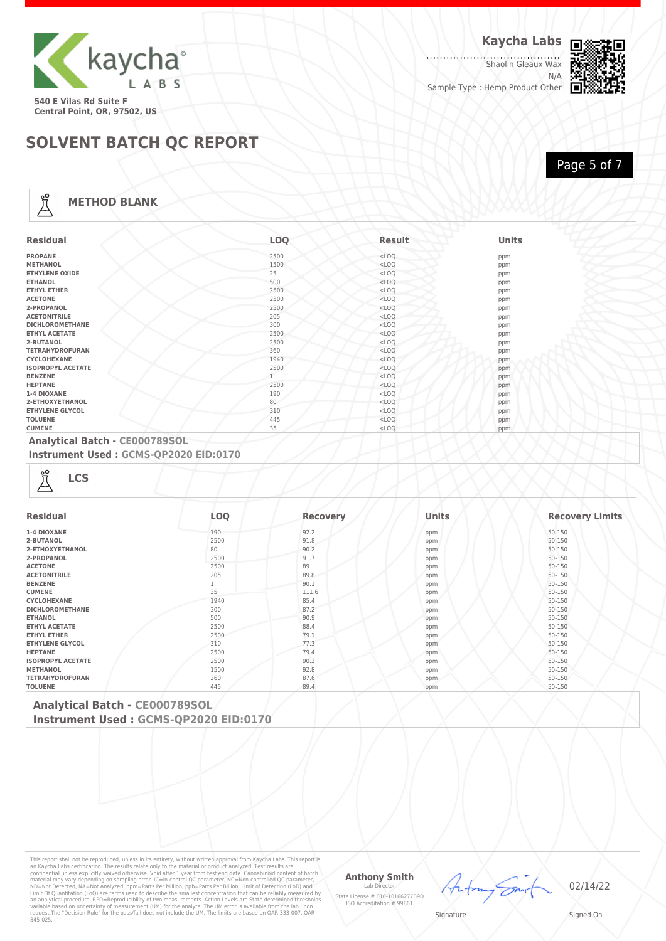

......................<br>Shaolin Gleaux Wax N/A Sample Type : Hemp Product Other



Page 5 of 7

**SOLVENT BATCH QC REPORT**

#### **METHOD BLANK**

Å

| <b>Residual</b>          | <b>LOO</b> | <b>Result</b> | <b>Units</b> |
|--------------------------|------------|---------------|--------------|
| <b>PROPANE</b>           | 2500       | $<$ LOQ       | ppm          |
| <b>METHANOL</b>          | 1500       | $<$ LOQ       | ppm          |
| <b>ETHYLENE OXIDE</b>    | 25         | $<$ LOQ       | ppm          |
| <b>ETHANOL</b>           | 500        | $<$ LOQ       | ppm          |
| <b>ETHYL ETHER</b>       | 2500       | $<$ LOQ       | ppm          |
| <b>ACETONE</b>           | 2500       | $<$ LOQ       | ppm          |
| 2-PROPANOL               | 2500       | $<$ LOQ       | ppm          |
| <b>ACETONITRILE</b>      | 205        | $<$ LOQ       | ppm          |
| <b>DICHLOROMETHANE</b>   | 300        | $<$ LOQ       | ppm          |
| <b>ETHYL ACETATE</b>     | 2500       | $<$ LOQ       | ppm          |
| 2-BUTANOL                | 2500       | $<$ LOQ       | ppm          |
| <b>TETRAHYDROFURAN</b>   | 360        | $<$ LOQ       | ppm          |
| CYCLOHEXANE              | 1940       | $<$ LOQ       | ppm          |
| <b>ISOPROPYL ACETATE</b> | 2500       | $<$ LOQ       | ppm          |
| <b>BENZENE</b>           |            | $<$ LOQ       | ppm          |
| <b>HEPTANE</b>           | 2500       | $<$ LOQ       | ppm          |
| 1-4 DIOXANE              | 190        | $<$ LOQ       | ppm          |
| 2-ETHOXYETHANOL          | 80         | $<$ LOQ       | ppm          |
| <b>ETHYLENE GLYCOL</b>   | 310        | $<$ LOQ       | ppm          |
| <b>TOLUENE</b>           | 445        | $<$ LOQ       | ppm          |
| <b>CUMENE</b>            | 35         | $<$ LOQ       | ppm          |

#### **Analytical Batch - CE000789SOL**

**Instrument Used : GCMS-QP2020 EID:0170**

| <b>Residual</b>          | <b>LOQ</b> | <b>Recovery</b> | Units | <b>Recovery Limits</b> |
|--------------------------|------------|-----------------|-------|------------------------|
| 1-4 DIOXANE              | 190        | 92.2            | ppm   | 50-150                 |
| 2-BUTANOL                | 2500       | 91.8            | ppm   | 50-150                 |
| 2-ETHOXYETHANOL          | 80         | 90.2            | ppm   | 50-150                 |
| 2-PROPANOL               | 2500       | 91.7            | ppm   | 50-150                 |
| <b>ACETONE</b>           | 2500       | 89              | ppm   | 50-150                 |
| <b>ACETONITRILE</b>      | 205        | 89.8            | ppm   | 50-150                 |
| <b>BENZENE</b>           |            | 90.1            | ppm   | 50-150                 |
| <b>CUMENE</b>            | 35         | 111.6           | ppm   | 50-150                 |
| CYCLOHEXANE              | 1940       | 85.4            | ppm   | 50-150                 |
| <b>DICHLOROMETHANE</b>   | 300        | 87.2            | ppm   | 50-150                 |
| <b>ETHANOL</b>           | 500        | 90.9            | ppm   | 50-150                 |
| <b>ETHYL ACETATE</b>     | 2500       | 88.4            | ppm   | 50-150                 |
| <b>ETHYL ETHER</b>       | 2500       | 79.1            | ppm   | 50-150                 |
| <b>ETHYLENE GLYCOL</b>   | 310        | 77.3            | ppm   | 50-150                 |
| <b>HEPTANE</b>           | 2500       | 79.4            | ppm   | 50-150                 |
| <b>ISOPROPYL ACETATE</b> | 2500       | 90.3            | ppm   | 50-150                 |
| <b>METHANOL</b>          | 1500       | 92.8            | ppm   | 50-150                 |
| <b>TETRAHYDROFURAN</b>   | 360        | 87.6            | ppm   | 50-150                 |
| <b>TOLUENE</b>           | 445        | 89.4            | ppm   | 50-150                 |

**Analytical Batch - CE000789SOL Instrument Used : GCMS-QP2020 EID:0170**

This report shall not be reproduced, unless in its entirety, without written approval from Kaycha Labs. This report is<br>an Kaycha Labs certification. The results relate only to the material or product analyzed. Test result

#### **Anthony Smith**

Lab D State License # 010-10166277B9D ISO Accreditation # 99861



02/14/22

 $\mathscr{L}\setminus\mathscr{L}$ **Signature**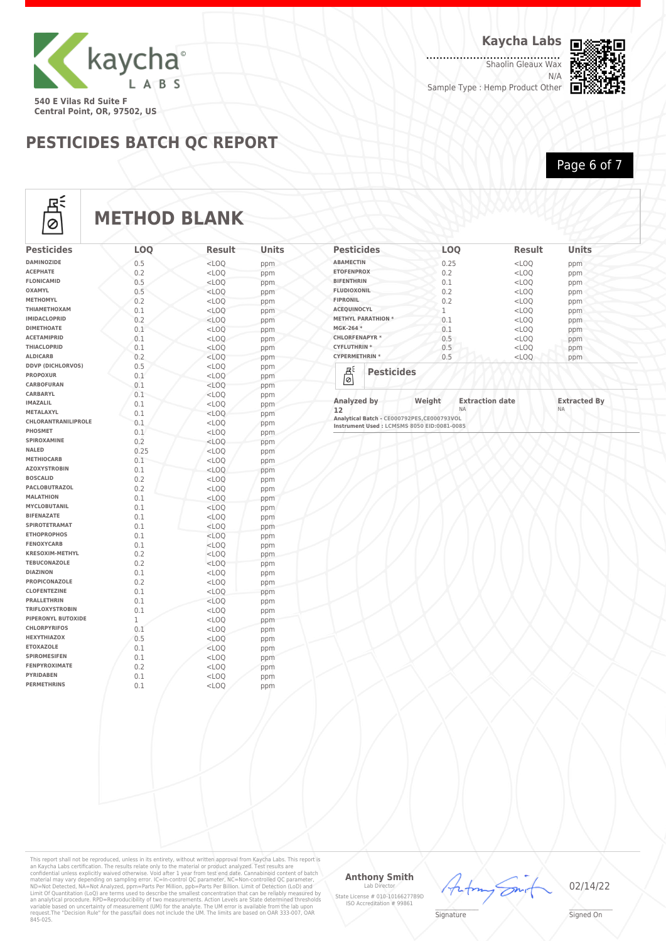

**Kaycha Labs**

......................<br>Shaolin Gleaux Wax N/A

Sample Type : Hemp Product Other



**Central Point, OR, 97502, US**

### **PESTICIDES BATCH QC REPORT**

Page 6 of 7



## **METHOD BLANK**

| <b>Pesticides</b>                      | LOQ        | <b>Result</b>      | Units      |
|----------------------------------------|------------|--------------------|------------|
| <b>DAMINOZIDE</b>                      | 0.5        | $<$ LOO            | ppm        |
| <b>ACEPHATE</b>                        | 0.2        | $<$ LOO            | ppm        |
| <b>FLONICAMID</b>                      | 0.5        | $<$ LOQ            | ppm        |
| <b>OXAMYL</b>                          | 0.5        | $<$ LOQ            | ppm        |
| <b>METHOMYL</b>                        | 0.2        | $<$ LOO            | ppm        |
| ΤΗΙΑΜΕΤΗΟΧΑΜ                           | 0.1        | $<$ LOQ            | ppm        |
| <b>IMIDACLOPRID</b>                    | 0.2        | $<$ LOQ            | ppm        |
| <b>DIMETHOATE</b>                      | 0.1        | $<$ LOQ            | ppm        |
| <b>ACETAMIPRID</b>                     | 0.1        | $<$ LOO            | ppm        |
| <b>THIACLOPRID</b>                     | 0.1        | $<$ LOO            | ppm        |
| <b>ALDICARB</b>                        | 0.2        | $<$ LOQ            | ppm        |
| <b>DDVP (DICHLORVOS)</b>               | 0.5        | $<$ LOQ            | ppm        |
| <b>PROPOXUR</b>                        | 0.1        | $<$ LOO            | ppm        |
| <b>CARBOFURAN</b>                      | 0.1        | $<$ LOO            | ppm        |
| <b>CARBARYL</b>                        | 0.1        | $<$ LOQ            | ppm        |
| <b>IMAZALIL</b>                        | 0.1        | $<$ LOQ            | ppm        |
| <b>METALAXYL</b>                       | 0.1        | $<$ LOO            | ppm        |
| <b>CHLORANTRANILIPROLE</b>             | 0.1        | $<$ LOQ            | ppm        |
| PHOSMET                                | 0.1        | $<$ LOO            | ppm        |
| SPIROXAMINE                            | 0.2        | $<$ LOQ            | ppm        |
| <b>NALED</b>                           | 0.25       | $<$ LOO            | ppm        |
| <b>METHIOCARB</b>                      | 0.1        | $<$ LOQ            | ppm        |
| <b>AZOXYSTROBIN</b><br><b>BOSCALID</b> | 0.1        | $<$ LOQ            | ppm        |
| <b>PACLOBUTRAZOL</b>                   | 0.2        | $<$ LOQ            | ppm        |
| <b>MALATHION</b>                       | 0.2        | $<$ LOO            | ppm        |
| <b>MYCLOBUTANIL</b>                    | 0.1        | $<$ LOQ            | ppm        |
| <b>BIFENAZATE</b>                      | 0.1        | $<$ LOO            | ppm        |
| <b>SPIROTETRAMAT</b>                   | 0.1<br>0.1 | $<$ LOO            | ppm        |
| <b>ETHOPROPHOS</b>                     | 0.1        | $<$ LOQ            | ppm        |
| <b>FENOXYCARB</b>                      | 0.1        | $<$ LOQ<br>$<$ LOO | ppm        |
| <b>KRESOXIM-METHYL</b>                 | 0.2        | $<$ LOO            | ppm        |
| <b>TEBUCONAZOLE</b>                    | 0.2        | $<$ LOO            | ppm        |
| <b>DIAZINON</b>                        | 0.1        | $<$ LOQ            | ppm<br>ppm |
| <b>PROPICONAZOLE</b>                   | 0.2        | $<$ LOQ            | ppm        |
| <b>CLOFENTEZINE</b>                    | 0.1        | $<$ LOO            | ppm        |
| <b>PRALLETHRIN</b>                     | 0.1        | $<$ LOO            | ppm        |
| <b>TRIFLOXYSTROBIN</b>                 | 0.1        | $<$ LOQ            | ppm        |
| PIPERONYL BUTOXIDE                     | 1          | $<$ LOQ            | ppm        |
| <b>CHLORPYRIFOS</b>                    | 0.1        | $<$ LOQ            | ppm        |
| <b>HEXYTHIAZOX</b>                     | 0.5        | $<$ LOQ            | ppm        |
| <b>ETOXAZOLE</b>                       | 0.1        | $<$ LOQ            | ppm        |
| <b>SPIROMESIFEN</b>                    | 0.1        | $<$ LOQ            | ppm        |
| <b>FENPYROXIMATE</b>                   | 0.2        | $<$ LOQ            | ppm        |
| <b>PYRIDABEN</b>                       | 0.1        | $<$ LOQ            | ppm        |
| <b>PERMETHRINS</b>                     | 0.1        | $<$ LOQ            | ppm        |
|                                        |            |                    |            |

| <b>Pesticides</b>         | <b>LOO</b> | <b>Result</b> | <b>Units</b> |  |
|---------------------------|------------|---------------|--------------|--|
| <b>ABAMECTIN</b>          | 0.25       | $<$ LOQ       | ppm          |  |
| <b>ETOFENPROX</b>         | 0.2        | $<$ LOQ       | ppm          |  |
| <b>BIFENTHRIN</b>         | 0.1        | $<$ LOQ       | ppm          |  |
| <b>FLUDIOXONIL</b>        | 0.2        | $<$ LOQ       | ppm          |  |
| <b>FIPRONIL</b>           | 0.2        | $<$ LOQ       | ppm          |  |
| <b>ACEQUINOCYL</b>        | 1          | $<$ LOO       | ppm          |  |
| <b>METHYL PARATHION *</b> | 0.1        | $<$ LOQ       | ppm          |  |
| MGK-264 *                 | 0.1        | $<$ LOQ       | ppm          |  |
| <b>CHLORFENAPYR*</b>      | 0.5        | $<$ LOQ       | ppm          |  |
| <b>CYFLUTHRIN*</b>        | 0.5        | $<$ LOQ       | ppm          |  |
| <b>CYPERMETHRIN *</b>     | 0.5        | $<$ LOQ       | ppm          |  |
| Βś<br><b>Pesticides</b>   |            |               |              |  |
| 01                        |            |               |              |  |

| Analyzed by                                 | Weight | <b>Extraction date</b> | <b>Extracted By</b> |
|---------------------------------------------|--------|------------------------|---------------------|
| 12                                          |        | NΑ                     | <b>NA</b>           |
| Analytical Batch - CE000792PES.CE000793VOL  |        |                        |                     |
| Instrument Used : LCMSMS 8050 EID:0081-0085 |        |                        |                     |

This report shall not be reproduced, unless in its entirety, without written approval from Kaycha Labs. This report is<br>an Kaycha Labs certification. The results relate only to the material or product analyzed. Test result

#### **Anthony Smith** Lab D

State License # 010-10166277B9D ISO Accreditation # 99861



02/14/22

 $\mathscr{L}\setminus\mathscr{L}$ **Signature**